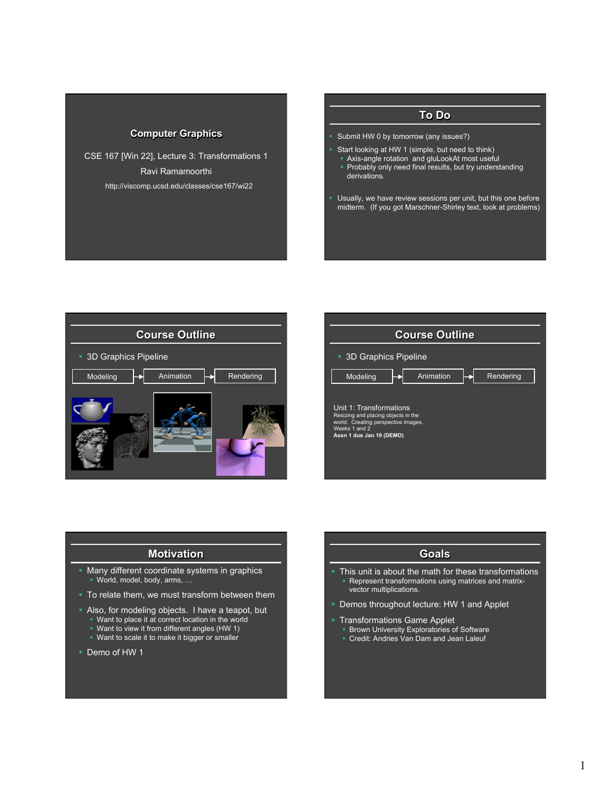#### **Computer Graphics**

CSE 167 [Win 22], Lecture 3: Transformations 1 Ravi Ramamoorthi http://viscomp.ucsd.edu/classes/cse167/wi22

# **To Do**

- § Submit HW 0 by tomorrow (any issues?)
- § Start looking at HW 1 (simple, but need to think)
	- Axis-angle rotation and gluLookAt most useful
	- Probably only need final results, but try understanding derivations.
- **Usually, we have review sessions per unit, but this one before** midterm. (If you got Marschner-Shirley text, look at problems)





#### **Motivation**

- Many different coordinate systems in graphics § World, model, body, arms, …
- To relate them, we must transform between them
- § Also, for modeling objects. I have a teapot, but
- § Want to place it at correct location in the world
	- Want to view it from different angles (HW 1) • Want to scale it to make it bigger or smaller
	-
- Demo of HW 1

#### **Goals**

- This unit is about the math for these transformations Represent transformations using matrices and matrixvector multiplications.
- Demos throughout lecture: HW 1 and Applet
- **Transformations Game Applet** 
	- § Brown University Exploratories of Software
	- Credit: Andries Van Dam and Jean Laleuf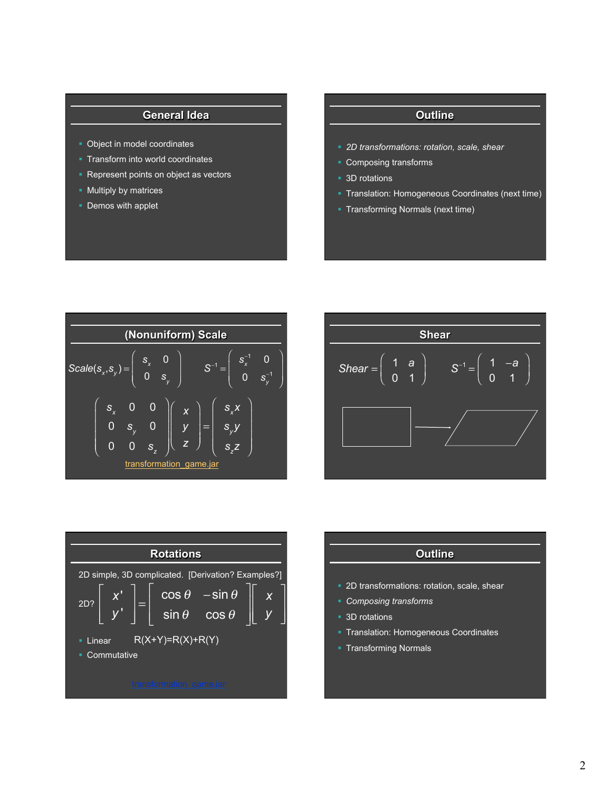### **General Idea**

- § Object in model coordinates
- § Transform into world coordinates
- § Represent points on object as vectors
- § Multiply by matrices
- § Demos with applet

## **Outline**

- § *2D transformations: rotation, scale, shear*
- § Composing transforms
- 3D rotations
- § Translation: Homogeneous Coordinates (next time)
- § Transforming Normals (next time)







| <b>Outline</b>                               |  |  |  |  |  |  |
|----------------------------------------------|--|--|--|--|--|--|
|                                              |  |  |  |  |  |  |
| • 2D transformations: rotation, scale, shear |  |  |  |  |  |  |
| • Composing transforms                       |  |  |  |  |  |  |
| ■ 3D rotations                               |  |  |  |  |  |  |
| • Translation: Homogeneous Coordinates       |  |  |  |  |  |  |
| • Transforming Normals                       |  |  |  |  |  |  |
|                                              |  |  |  |  |  |  |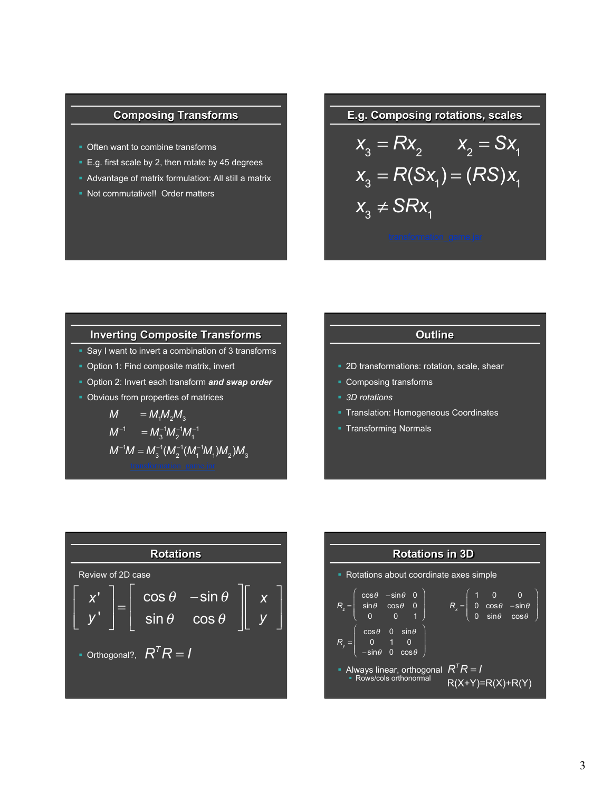## **Composing Transforms**

- Often want to combine transforms
- E.g. first scale by 2, then rotate by 45 degrees
- Advantage of matrix formulation: All still a matrix
- § Not commutative!! Order matters

**E.g. Composing rotations, scales** 

$$
x_3 = Rx_2 \t x_2 = Sx_1
$$
  
\n
$$
x_3 = R(Sx_1) = (RS)x_1
$$
  
\n
$$
x_3 \neq SRx_1
$$

#### **Inverting Composite Transforms**

- Say I want to invert a combination of 3 transforms
- § Option 1: Find composite matrix, invert
- § Option 2: Invert each transform *and swap order*
- § Obvious from properties of matrices

$$
M = M_1 M_2 M_3
$$
  
\n
$$
M^{-1} = M_3^{-1} M_2^{-1} M_1^{-1}
$$
  
\n
$$
M^{-1} M = M_3^{-1} (M_2^{-1} (M_1^{-1} M_1) M_2) M_3
$$

## **Outline**

- § 2D transformations: rotation, scale, shear
- Composing transforms
- § *3D rotations*
- § Translation: Homogeneous Coordinates
- § Transforming Normals



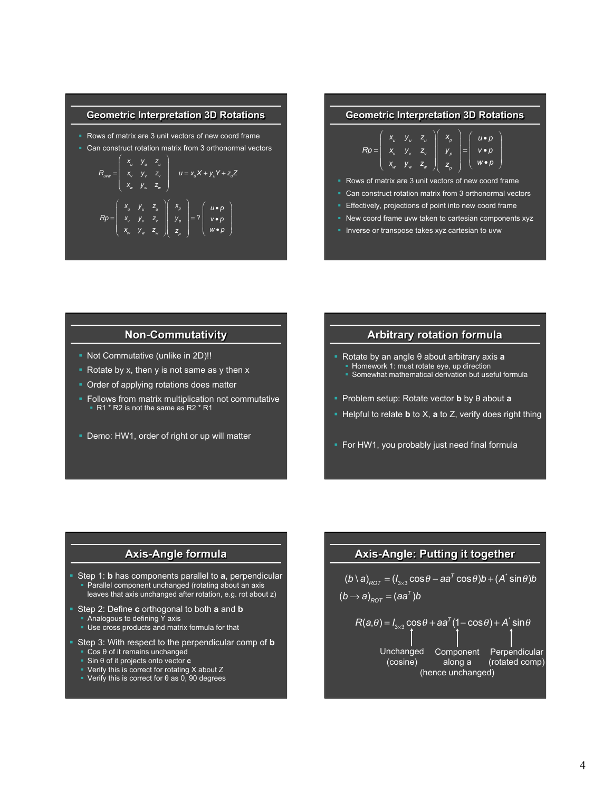#### **Geometric Interpretation 3D Rotations**

- Rows of matrix are 3 unit vectors of new coord frame
- Can construct rotation matrix from 3 orthonormal vectors

$$
R_{uvw} = \begin{pmatrix} X_u & y_u & z_u \\ x_v & y_v & z_v \\ x_w & y_w & z_w \end{pmatrix} \quad u = x_u X + y_u Y + z_u Z
$$
\n
$$
Rp = \begin{pmatrix} X_u & y_u & z_u \\ x_v & y_v & z_v \\ x_w & y_w & z_w \end{pmatrix} \begin{pmatrix} X_p \\ Y_p \\ Z_p \end{pmatrix} = ? \begin{pmatrix} u \cdot p \\ v \cdot p \\ w \cdot p \\ w \cdot p \end{pmatrix}
$$

#### **Geometric Interpretation 3D Rotations**

|  |  |  | $X_u$ $Y_u$ $Z_u$ $X_p$ $U_v$                                                                                                                                     |
|--|--|--|-------------------------------------------------------------------------------------------------------------------------------------------------------------------|
|  |  |  | $Rp = \begin{bmatrix} x & y & z \\ x_w & y_w & z_w \end{bmatrix} \begin{bmatrix} y_p \\ z_p \end{bmatrix} = \begin{bmatrix} v \cdot p \\ w \cdot p \end{bmatrix}$ |
|  |  |  |                                                                                                                                                                   |

- Rows of matrix are 3 unit vectors of new coord frame
- Can construct rotation matrix from 3 orthonormal vectors
- Effectively, projections of point into new coord frame
- § New coord frame uvw taken to cartesian components xyz
- Inverse or transpose takes xyz cartesian to uvw

### **Non-Commutativity**

- § Not Commutative (unlike in 2D)!!
- Rotate by x, then y is not same as y then x
- Order of applying rotations does matter
- Follows from matrix multiplication not commutative  $\overline{R1}$  \* R2 is not the same as R2  $\overline{r}$  R1
- Demo: HW1, order of right or up will matter

#### **Arbitrary rotation formula**

- § Rotate by an angle θ about arbitrary axis **a** 
	- § Homework 1: must rotate eye, up direction ■ Somewhat mathematical derivation but useful formula
	-
- § Problem setup: Rotate vector **b** by θ about **a**
- § Helpful to relate **b** to X, **a** to Z, verify does right thing
- **For HW1, you probably just need final formula**

### **Axis-Angle formula**

- § Step 1: **b** has components parallel to **a**, perpendicular Parallel component unchanged (rotating about an axis leaves that axis unchanged after rotation, e.g. rot about z)
- § Step 2: Define **c** orthogonal to both **a** and **b**  § Analogous to defining Y axis
	- Use cross products and matrix formula for that
- Step 3: With respect to the perpendicular comp of **b** 
	- Cos θ of it remains unchanged § Sin θ of it projects onto vector **c**
	- Verify this is correct for rotating X about Z
	- $\bullet$  Verify this is correct for  $\theta$  as 0, 90 degrees

### **Axis-Angle: Putting it together**

$$
(b \setminus a)_{ROT} = (I_{3\times 3} \cos \theta - aa^T \cos \theta) b + (A^* \sin \theta) b
$$

$$
(b \rightarrow a)_{_{ROT}} = (aa^T)b
$$

$$
R(a,\theta) = I_{3\times 3} \cos \theta + aa^{T} (1 - \cos \theta) + A^{*} \sin \theta
$$

Unchanged (cosine) Component along a (hence unchanged) Perpendicular (rotated comp)